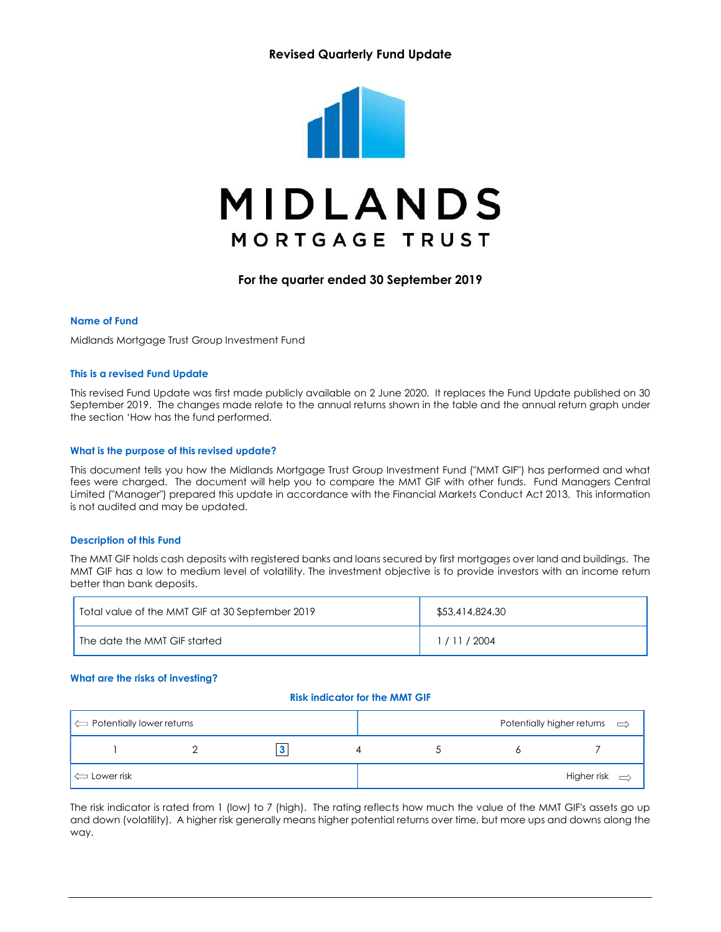## Revised Quarterly Fund Update



For the quarter ended 30 September 2019

#### Name of Fund

Midlands Mortgage Trust Group Investment Fund

#### This is a revised Fund Update

This revised Fund Update was first made publicly available on 2 June 2020. It replaces the Fund Update published on 30 September 2019. The changes made relate to the annual returns shown in the table and the annual return graph under the section 'How has the fund performed.

#### What is the purpose of this revised update?

This document tells you how the Midlands Mortgage Trust Group Investment Fund ("MMT GIF") has performed and what fees were charged. The document will help you to compare the MMT GIF with other funds. Fund Managers Central Limited ("Manager") prepared this update in accordance with the Financial Markets Conduct Act 2013. This information is not audited and may be updated.

#### Description of this Fund

The MMT GIF holds cash deposits with registered banks and loans secured by first mortgages over land and buildings. The MMT GIF has a low to medium level of volatility. The investment objective is to provide investors with an income return better than bank deposits.

| Total value of the MMT GIF at 30 September 2019 | \$53,414,824.30 |
|-------------------------------------------------|-----------------|
| The date the MMT GIF started                    | 1/11/2004       |

#### What are the risks of investing?

#### Risk indicator for the MMT GIF

| $\left  \right\rangle$ Potentially lower returns |  |  | Potentially higher returns $\implies$ |
|--------------------------------------------------|--|--|---------------------------------------|
|                                                  |  |  |                                       |
| $\Box$ Lower risk                                |  |  | Higher risk $\Rightarrow$             |

The risk indicator is rated from 1 (low) to 7 (high). The rating reflects how much the value of the MMT GIF's assets go up and down (volatility). A higher risk generally means higher potential returns over time, but more ups and downs along the way.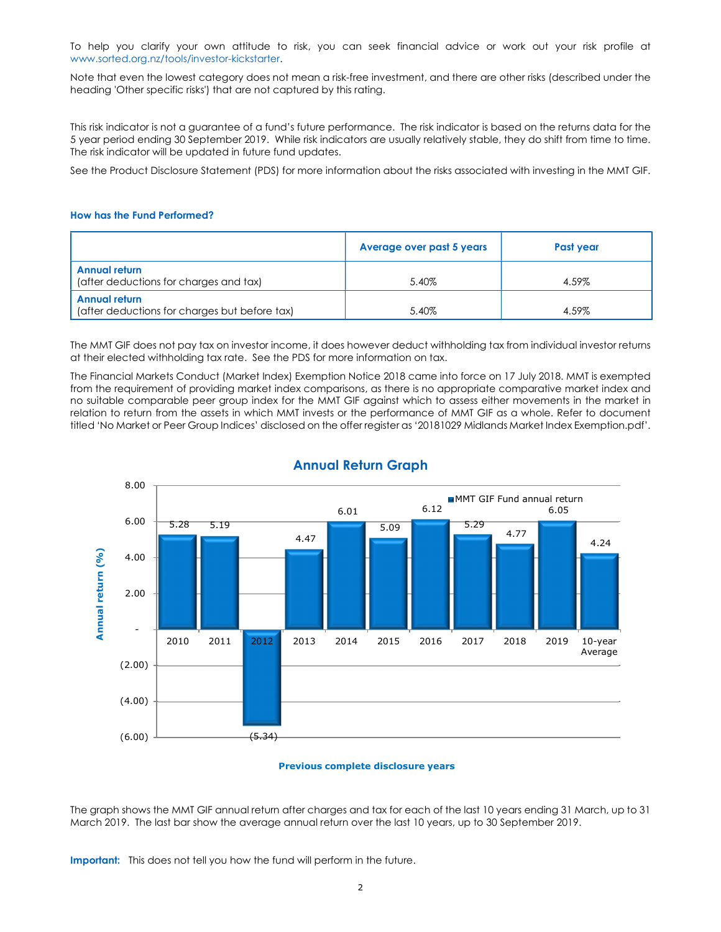To help you clarify your own attitude to risk, you can seek financial advice or work out your risk profile at www.sorted.org.nz/tools/investor-kickstarter.<br>Note that even the lowest category does not mean a risk-free investment, and there are other risks (described under the

heading 'Other specific risks') that are not captured by this rating.

This risk indicator is not a guarantee of a fund's future performance. The risk indicator is based on the returns data for the 5 year period ending 30 September 2019. While risk indicators are usually relatively stable, they do shift from time to time. The risk indicator will be updated in future fund updates.

See the Product Disclosure Statement (PDS) for more information about the risks associated with investing in the MMT GIF.

#### How has the Fund Performed?

|                                                                | Average over past 5 years | Past year |
|----------------------------------------------------------------|---------------------------|-----------|
| <b>Annual return</b><br>(after deductions for charges and tax) | 5.40%                     | 4.59%     |
| Annual return<br>(after deductions for charges but before tax) | 5.40%                     | 4.59%     |

The MMT GIF does not pay tax on investor income, it does however deduct withholding tax from individual investor returns at their elected withholding tax rate. See the PDS for more information on tax.

The Financial Markets Conduct (Market Index) Exemption Notice 2018 came into force on 17 July 2018. MMT is exempted from the requirement of providing market index comparisons, as there is no appropriate comparative market index and no suitable comparable peer group index for the MMT GIF against which to assess either movements in the market in relation to return from the assets in which MMT invests or the performance of MMT GIF as a whole. Refer to document titled 'No Market or Peer Group Indices' disclosed on the offer register as '20181029 Midlands Market Index Exemption.pdf'.



## Annual Return Graph

#### Previous complete disclosure years

The graph shows the MMT GIF annual return after charges and tax for each of the last 10 years ending 31 March, up to 31 March 2019. The last bar show the average annual return over the last 10 years, up to 30 September 2019.

Important: This does not tell you how the fund will perform in the future.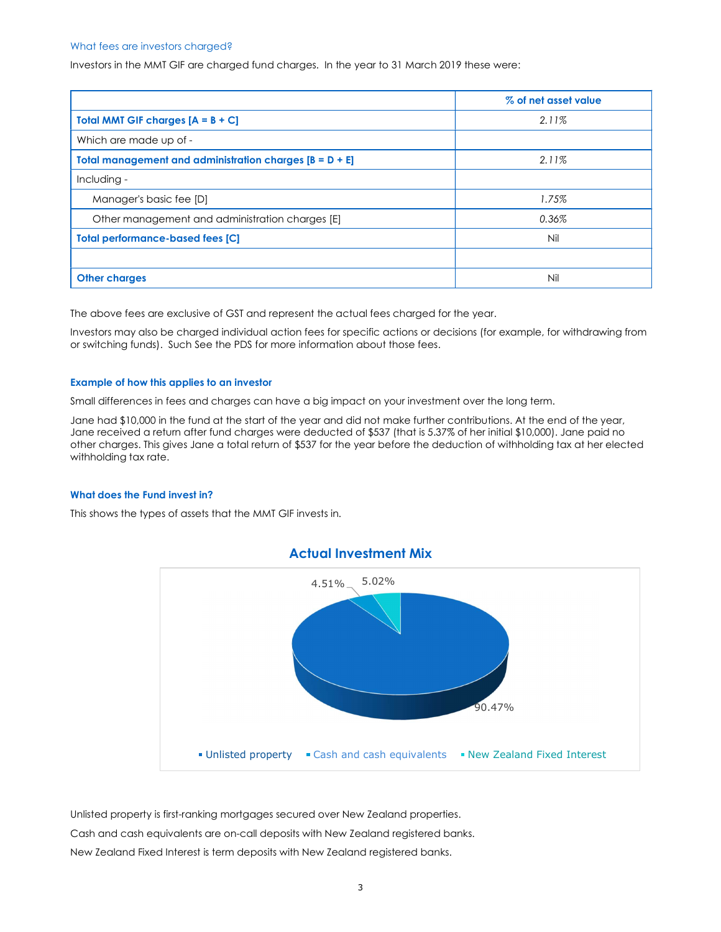#### What fees are investors charged?

Investors in the MMT GIF are charged fund charges. In the year to 31 March 2019 these were:

|                                                           | % of net asset value |
|-----------------------------------------------------------|----------------------|
| <b>Total MMT GIF charges <math>[A = B + C]</math></b>     | 2.11%                |
| Which are made up of -                                    |                      |
| Total management and administration charges $[B = D + E]$ | 2.11%                |
| Including -                                               |                      |
| Manager's basic fee [D]                                   | 1.75%                |
| Other management and administration charges [E]           | 0.36%                |
| <b>Total performance-based fees [C]</b>                   | Nil                  |
|                                                           |                      |
| <b>Other charges</b>                                      | Nil                  |

The above fees are exclusive of GST and represent the actual fees charged for the year.

Investors may also be charged individual action fees for specific actions or decisions (for example, for withdrawing from or switching funds). Such See the PDS for more information about those fees.

#### Example of how this applies to an investor

Small differences in fees and charges can have a big impact on your investment over the long term.

Jane had \$10,000 in the fund at the start of the year and did not make further contributions. At the end of the year, Jane received a return after fund charges were deducted of \$537 (that is 5.37% of her initial \$10,000). Jane paid no other charges. This gives Jane a total return of \$537 for the year before the deduction of withholding tax at her elected withholding tax rate.

#### What does the Fund invest in?

This shows the types of assets that the MMT GIF invests in.



Unlisted property is first-ranking mortgages secured over New Zealand properties. Cash and cash equivalents are on-call deposits with New Zealand registered banks. New Zealand Fixed Interest is term deposits with New Zealand registered banks.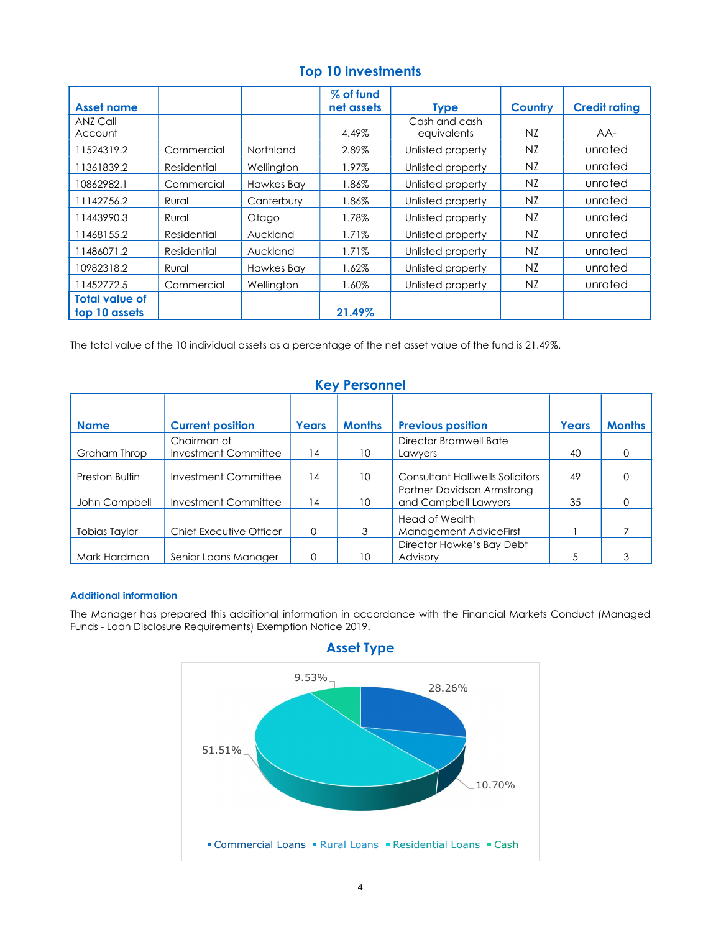| <b>Asset name</b>     |             |            | % of fund<br>net assets | <b>Type</b>       | <b>Country</b> | <b>Credit rating</b> |
|-----------------------|-------------|------------|-------------------------|-------------------|----------------|----------------------|
| ANZ Call              |             |            |                         | Cash and cash     |                |                      |
| Account               |             |            | 4.49%                   | equivalents       | NZ.            | AA-                  |
| 11524319.2            | Commercial  | Northland  | 2.89%                   | Unlisted property | NZ             | unrated              |
| 11361839.2            | Residential | Wellington | 1.97%                   | Unlisted property | NZ             | unrated              |
| 10862982.1            | Commercial  | Hawkes Bay | 1.86%                   | Unlisted property | NZ.            | unrated              |
| 11142756.2            | Rural       | Canterbury | 1.86%                   | Unlisted property | NZ.            | unrated              |
| 11443990.3            | Rural       | Otago      | .78%                    | Unlisted property | NZ             | unrated              |
| 11468155.2            | Residential | Auckland   | 1.71%                   | Unlisted property | NZ             | unrated              |
| 11486071.2            | Residential | Auckland   | $1.71\%$                | Unlisted property | NZ.            | unrated              |
| 10982318.2            | Rural       | Hawkes Bay | 1.62%                   | Unlisted property | NZ             | unrated              |
| 11452772.5            | Commercial  | Wellington | 1.60%                   | Unlisted property | NZ             | unrated              |
| <b>Total value of</b> |             |            |                         |                   |                |                      |
| top 10 assets         |             |            | 21.49%                  |                   |                |                      |

# Top 10 Investments

The total value of the 10 individual assets as a percentage of the net asset value of the fund is 21.49%.

# Key Personnel

| <b>Name</b>          | <b>Current position</b> | Years    | <b>Months</b>   | <b>Previous position</b>                           | Years | <b>Months</b> |
|----------------------|-------------------------|----------|-----------------|----------------------------------------------------|-------|---------------|
|                      | Chairman of             |          |                 | Director Bramwell Bate                             |       |               |
| Graham Throp         | Investment Committee    | 14       | 10 <sup>°</sup> | Lawyers                                            | 40    |               |
| Preston Bulfin       | Investment Committee    | 14       | 10              | <b>Consultant Halliwells Solicitors</b>            | 49    | $\Omega$      |
| John Campbell        | Investment Committee    | 14       | 10 <sup>°</sup> | Partner Davidson Armstrong<br>and Campbell Lawyers | 35    |               |
| <b>Tobias Taylor</b> | Chief Executive Officer | $\Omega$ |                 | <b>Head of Wealth</b><br>Management AdviceFirst    |       |               |
| Mark Hardman         | Senior Loans Manager    | $\Omega$ | 10 <sup>°</sup> | Director Hawke's Bay Debt<br>Advisory              |       | 3             |

### Additional information

The Manager has prepared this additional information in accordance with the Financial Markets Conduct (Managed Funds - Loan Disclosure Requirements) Exemption Notice 2019.